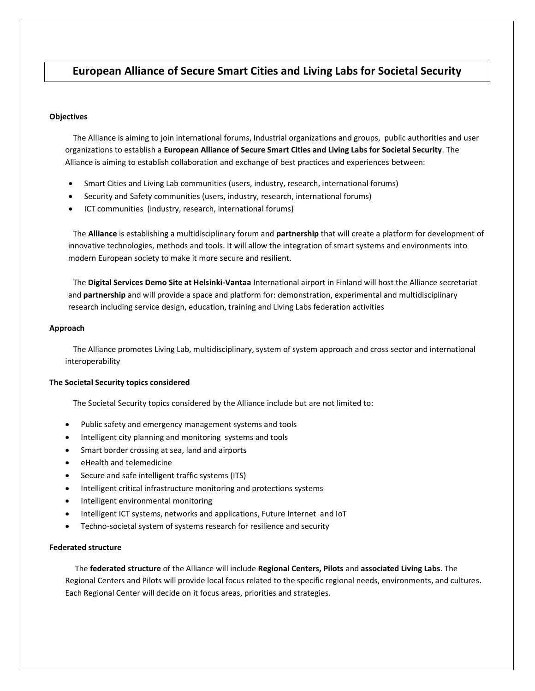# **European Alliance of Secure Smart Cities and Living Labs for Societal Security**

#### **Objectives**

 The Alliance is aiming to join international forums, Industrial organizations and groups, public authorities and user organizations to establish a **European Alliance of Secure Smart Cities and Living Labs for Societal Security**. The Alliance is aiming to establish collaboration and exchange of best practices and experiences between:

- Smart Cities and Living Lab communities (users, industry, research, international forums)
- Security and Safety communities (users, industry, research, international forums)
- ICT communities (industry, research, international forums)

 The **Alliance** is establishing a multidisciplinary forum and **partnership** that will create a platform for development of innovative technologies, methods and tools. It will allow the integration of smart systems and environments into modern European society to make it more secure and resilient.

 The **Digital Services Demo Site at Helsinki-Vantaa** International airport in Finland will host the Alliance secretariat and **partnership** and will provide a space and platform for: demonstration, experimental and multidisciplinary research including service design, education, training and Living Labs federation activities

## **Approach**

 The Alliance promotes Living Lab, multidisciplinary, system of system approach and cross sector and international interoperability

#### **The Societal Security topics considered**

The Societal Security topics considered by the Alliance include but are not limited to:

- Public safety and emergency management systems and tools
- Intelligent city planning and monitoring systems and tools
- Smart border crossing at sea, land and airports
- eHealth and telemedicine
- Secure and safe intelligent traffic systems (ITS)
- Intelligent critical infrastructure monitoring and protections systems
- Intelligent environmental monitoring
- Intelligent ICT systems, networks and applications, Future Internet and IoT
- Techno-societal system of systems research for resilience and security

## **Federated structure**

 The **federated structure** of the Alliance will include **Regional Centers, Pilots** and **associated Living Labs**. The Regional Centers and Pilots will provide local focus related to the specific regional needs, environments, and cultures. Each Regional Center will decide on it focus areas, priorities and strategies.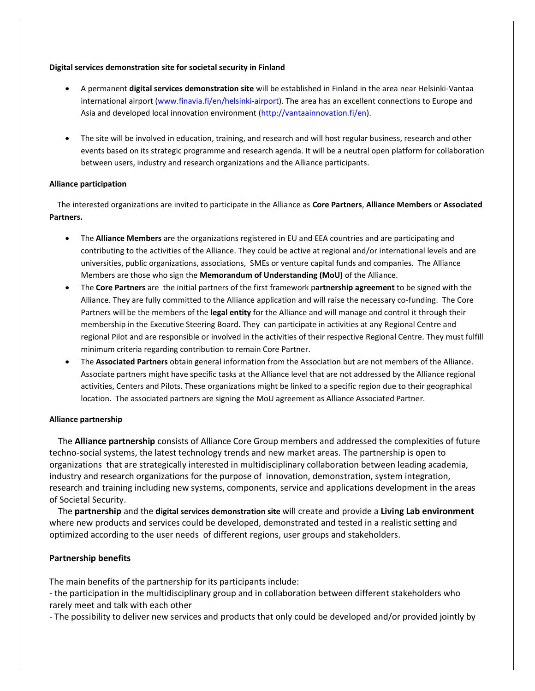## **Digital services demonstration site for societal security in Finland**

- A permanent **digital services demonstration site** will be established in Finland in the area near Helsinki-Vantaa international airport (www.finavia.fi/en/helsinki-airport). The area has an excellent connections to Europe and Asia and developed local innovation environment (http://vantaainnovation.fi/en).
- The site will be involved in education, training, and research and will host regular business, research and other events based on its strategic programme and research agenda. It will be a neutral open platform for collaboration between users, industry and research organizations and the Alliance participants.

## **Alliance participation**

 The interested organizations are invited to participate in the Alliance as **Core Partners**, **Alliance Members** or **Associated Partners.**

- The **Alliance Members** are the organizations registered in EU and EEA countries and are participating and contributing to the activities of the Alliance. They could be active at regional and/or international levels and are universities, public organizations, associations, SMEs or venture capital funds and companies. The Alliance Members are those who sign the **Memorandum of Understanding (MoU)** of the Alliance.
- The **Core Partners** are the initial partners of the first framework p**artnership agreement** to be signed with the Alliance. They are fully committed to the Alliance application and will raise the necessary co-funding. The Core Partners will be the members of the **legal entity** for the Alliance and will manage and control it through their membership in the Executive Steering Board. They can participate in activities at any Regional Centre and regional Pilot and are responsible or involved in the activities of their respective Regional Centre. They must fulfill minimum criteria regarding contribution to remain Core Partner.
- The **Associated Partners** obtain general information from the Association but are not members of the Alliance. Associate partners might have specific tasks at the Alliance level that are not addressed by the Alliance regional activities, Centers and Pilots. These organizations might be linked to a specific region due to their geographical location. The associated partners are signing the MoU agreement as Alliance Associated Partner.

#### **Alliance partnership**

 The **Alliance partnership** consists of Alliance Core Group members and addressed the complexities of future techno-social systems, the latest technology trends and new market areas. The partnership is open to organizations that are strategically interested in multidisciplinary collaboration between leading academia, industry and research organizations for the purpose of innovation, demonstration, system integration, research and training including new systems, components, service and applications development in the areas of Societal Security.

 The **partnership** and the **digital services demonstration site** will create and provide a **Living Lab environment** where new products and services could be developed, demonstrated and tested in a realistic setting and optimized according to the user needs of different regions, user groups and stakeholders.

## **Partnership benefits**

The main benefits of the partnership for its participants include:

- the participation in the multidisciplinary group and in collaboration between different stakeholders who rarely meet and talk with each other

- The possibility to deliver new services and products that only could be developed and/or provided jointly by